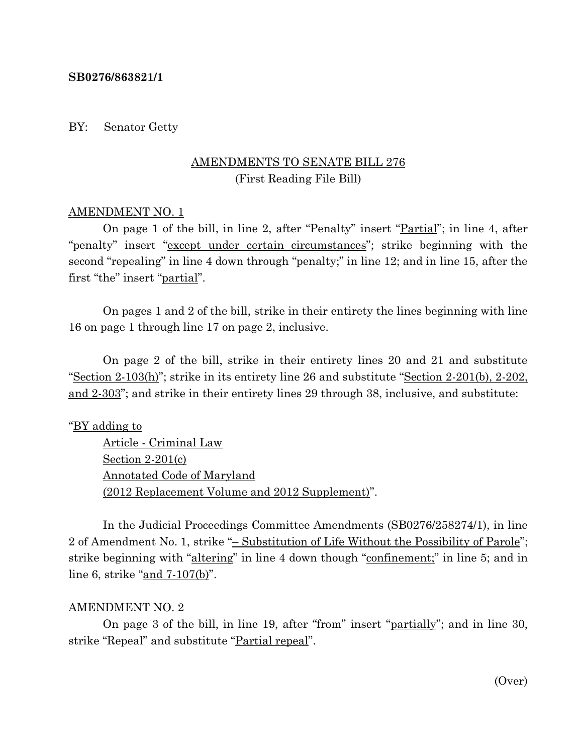## **SB0276/863821/1**

## BY: Senator Getty

# AMENDMENTS TO SENATE BILL 276 (First Reading File Bill)

## AMENDMENT NO. 1

On page 1 of the bill, in line 2, after "Penalty" insert "Partial"; in line 4, after "penalty" insert "except under certain circumstances"; strike beginning with the second "repealing" in line 4 down through "penalty;" in line 12; and in line 15, after the first "the" insert "<u>partial</u>".

On pages 1 and 2 of the bill, strike in their entirety the lines beginning with line 16 on page 1 through line 17 on page 2, inclusive.

On page 2 of the bill, strike in their entirety lines 20 and 21 and substitute "Section  $2-103(h)$ "; strike in its entirety line 26 and substitute "Section  $2-201(h)$ ,  $2-202$ , and 2-303"; and strike in their entirety lines 29 through 38, inclusive, and substitute:

## "BY adding to

Article - Criminal Law Section 2-201(c) Annotated Code of Maryland (2012 Replacement Volume and 2012 Supplement)".

In the Judicial Proceedings Committee Amendments (SB0276/258274/1), in line 2 of Amendment No. 1, strike "– Substitution of Life Without the Possibility of Parole"; strike beginning with "altering" in line 4 down though "confinement;" in line 5; and in line 6, strike "and 7-107(b)".

#### AMENDMENT NO. 2

On page 3 of the bill, in line 19, after "from" insert "partially"; and in line 30, strike "Repeal" and substitute "Partial repeal".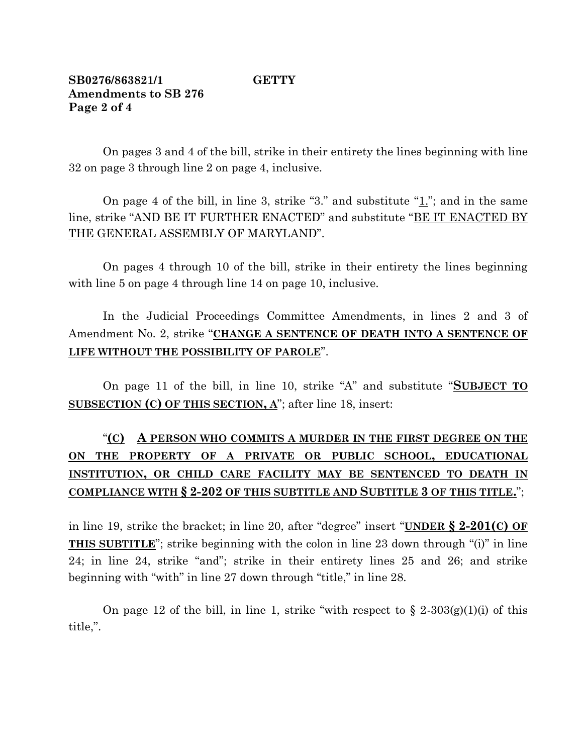# **SB0276/863821/1 GETTY Amendments to SB 276 Page 2 of 4**

On pages 3 and 4 of the bill, strike in their entirety the lines beginning with line 32 on page 3 through line 2 on page 4, inclusive.

On page 4 of the bill, in line 3, strike "3." and substitute "1."; and in the same line, strike "AND BE IT FURTHER ENACTED" and substitute "BE IT ENACTED BY THE GENERAL ASSEMBLY OF MARYLAND".

On pages 4 through 10 of the bill, strike in their entirety the lines beginning with line 5 on page 4 through line 14 on page 10, inclusive.

In the Judicial Proceedings Committee Amendments, in lines 2 and 3 of Amendment No. 2, strike "**CHANGE A SENTENCE OF DEATH INTO A SENTENCE OF LIFE WITHOUT THE POSSIBILITY OF PAROLE**".

On page 11 of the bill, in line 10, strike "A" and substitute "**SUBJECT TO SUBSECTION (C) OF THIS SECTION, A**"; after line 18, insert:

# "**(C) A PERSON WHO COMMITS A MURDER IN THE FIRST DEGREE ON THE ON THE PROPERTY OF A PRIVATE OR PUBLIC SCHOOL, EDUCATIONAL INSTITUTION, OR CHILD CARE FACILITY MAY BE SENTENCED TO DEATH IN COMPLIANCE WITH § 2-202 OF THIS SUBTITLE AND SUBTITLE 3 OF THIS TITLE.**";

in line 19, strike the bracket; in line 20, after "degree" insert "**UNDER § 2-201(C) OF THIS SUBTITLE**"; strike beginning with the colon in line 23 down through "(i)" in line 24; in line 24, strike "and"; strike in their entirety lines 25 and 26; and strike beginning with "with" in line 27 down through "title," in line 28.

On page 12 of the bill, in line 1, strike "with respect to  $\S 2-303(g)(1)(i)$  of this title,".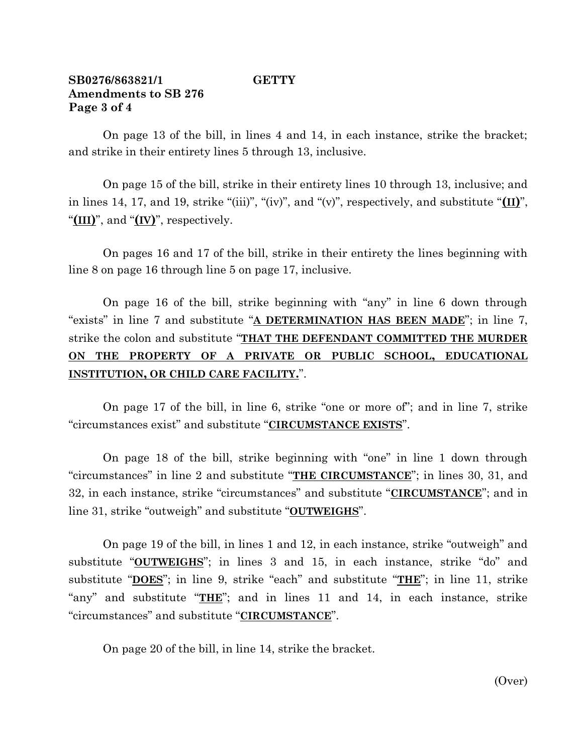## **SB0276/863821/1 GETTY Amendments to SB 276 Page 3 of 4**

On page 13 of the bill, in lines 4 and 14, in each instance, strike the bracket; and strike in their entirety lines 5 through 13, inclusive.

On page 15 of the bill, strike in their entirety lines 10 through 13, inclusive; and in lines 14, 17, and 19, strike "(iii)", "(iv)", and "(v)", respectively, and substitute "**(II)**", "**(III)**", and "**(IV)**", respectively.

On pages 16 and 17 of the bill, strike in their entirety the lines beginning with line 8 on page 16 through line 5 on page 17, inclusive.

On page 16 of the bill, strike beginning with "any" in line 6 down through "exists" in line 7 and substitute "**A DETERMINATION HAS BEEN MADE**"; in line 7, strike the colon and substitute "**THAT THE DEFENDANT COMMITTED THE MURDER ON THE PROPERTY OF A PRIVATE OR PUBLIC SCHOOL, EDUCATIONAL INSTITUTION, OR CHILD CARE FACILITY.**".

On page 17 of the bill, in line 6, strike "one or more of"; and in line 7, strike "circumstances exist" and substitute "**CIRCUMSTANCE EXISTS**".

On page 18 of the bill, strike beginning with "one" in line 1 down through "circumstances" in line 2 and substitute "**THE CIRCUMSTANCE**"; in lines 30, 31, and 32, in each instance, strike "circumstances" and substitute "**CIRCUMSTANCE**"; and in line 31, strike "outweigh" and substitute "**OUTWEIGHS**".

On page 19 of the bill, in lines 1 and 12, in each instance, strike "outweigh" and substitute "**OUTWEIGHS**"; in lines 3 and 15, in each instance, strike "do" and substitute "**DOES**"; in line 9, strike "each" and substitute "**THE**"; in line 11, strike "any" and substitute "**THE**"; and in lines 11 and 14, in each instance, strike "circumstances" and substitute "**CIRCUMSTANCE**".

On page 20 of the bill, in line 14, strike the bracket.